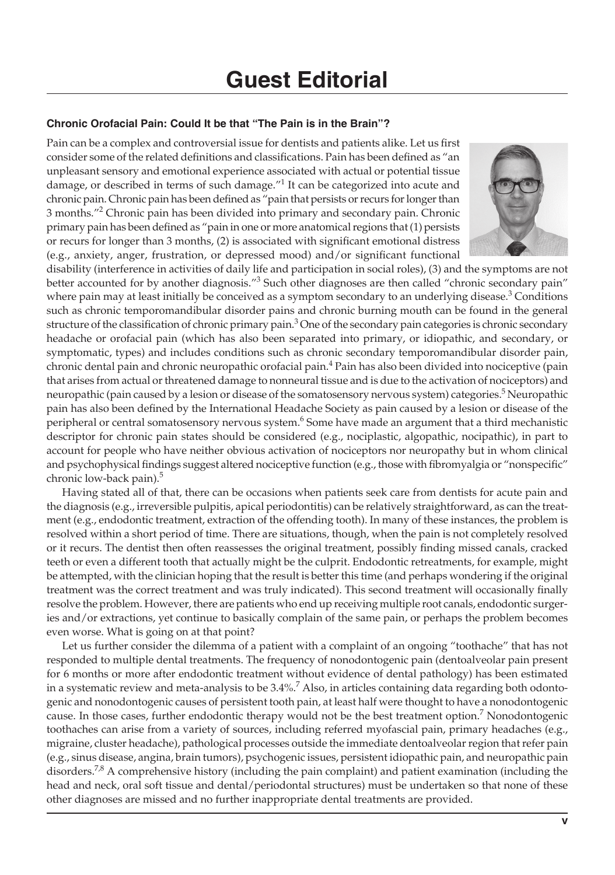## **Guest Editorial**

## **Chronic Orofacial Pain: Could It be that "The Pain is in the Brain"?**

Pain can be a complex and controversial issue for dentists and patients alike. Let us first consider some of the related definitions and classifications. Pain has been defined as "an unpleasant sensory and emotional experience associated with actual or potential tissue damage, or described in terms of such damage. $^{\prime\prime}$  It can be categorized into acute and chronic pain. Chronic pain has been defined as "pain that persists or recurs for longer than 3 months."<sup>2</sup> Chronic pain has been divided into primary and secondary pain. Chronic primary pain has been defined as "pain in one or more anatomical regions that (1) persists or recurs for longer than 3 months, (2) is associated with significant emotional distress (e.g., anxiety, anger, frustration, or depressed mood) and/or significant functional



disability (interference in activities of daily life and participation in social roles), (3) and the symptoms are not better accounted for by another diagnosis."<sup>3</sup> Such other diagnoses are then called "chronic secondary pain" where pain may at least initially be conceived as a symptom secondary to an underlying disease. $3$  Conditions such as chronic temporomandibular disorder pains and chronic burning mouth can be found in the general structure of the classification of chronic primary pain.<sup>3</sup> One of the secondary pain categories is chronic secondary headache or orofacial pain (which has also been separated into primary, or idiopathic, and secondary, or symptomatic, types) and includes conditions such as chronic secondary temporomandibular disorder pain, chronic dental pain and chronic neuropathic orofacial pain.<sup>4</sup> Pain has also been divided into nociceptive (pain that arises from actual or threatened damage to nonneural tissue and is due to the activation of nociceptors) and neuropathic (pain caused by a lesion or disease of the somatosensory nervous system) categories.<sup>5</sup> Neuropathic pain has also been defined by the International Headache Society as pain caused by a lesion or disease of the peripheral or central somatosensory nervous system.<sup>6</sup> Some have made an argument that a third mechanistic descriptor for chronic pain states should be considered (e.g., nociplastic, algopathic, nocipathic), in part to account for people who have neither obvious activation of nociceptors nor neuropathy but in whom clinical and psychophysical findings suggest altered nociceptive function (e.g., those with fibromyalgia or "nonspecific" chronic low-back pain).<sup>5</sup>

Having stated all of that, there can be occasions when patients seek care from dentists for acute pain and the diagnosis (e.g., irreversible pulpitis, apical periodontitis) can be relatively straightforward, as can the treatment (e.g., endodontic treatment, extraction of the offending tooth). In many of these instances, the problem is resolved within a short period of time. There are situations, though, when the pain is not completely resolved or it recurs. The dentist then often reassesses the original treatment, possibly finding missed canals, cracked teeth or even a different tooth that actually might be the culprit. Endodontic retreatments, for example, might be attempted, with the clinician hoping that the result is better this time (and perhaps wondering if the original treatment was the correct treatment and was truly indicated). This second treatment will occasionally finally resolve the problem. However, there are patients who end up receiving multiple root canals, endodontic surgeries and/or extractions, yet continue to basically complain of the same pain, or perhaps the problem becomes even worse. What is going on at that point?

Let us further consider the dilemma of a patient with a complaint of an ongoing "toothache" that has not responded to multiple dental treatments. The frequency of nonodontogenic pain (dentoalveolar pain present for 6 months or more after endodontic treatment without evidence of dental pathology) has been estimated in a systematic review and meta-analysis to be  $3.4\%$ .<sup>7</sup> Also, in articles containing data regarding both odontogenic and nonodontogenic causes of persistent tooth pain, at least half were thought to have a nonodontogenic cause. In those cases, further endodontic therapy would not be the best treatment option.<sup>7</sup> Nonodontogenic toothaches can arise from a variety of sources, including referred myofascial pain, primary headaches (e.g., migraine, cluster headache), pathological processes outside the immediate dentoalveolar region that refer pain (e.g., sinus disease, angina, brain tumors), psychogenic issues, persistent idiopathic pain, and neuropathic pain disorders.<sup>7,8</sup> A comprehensive history (including the pain complaint) and patient examination (including the head and neck, oral soft tissue and dental/periodontal structures) must be undertaken so that none of these other diagnoses are missed and no further inappropriate dental treatments are provided.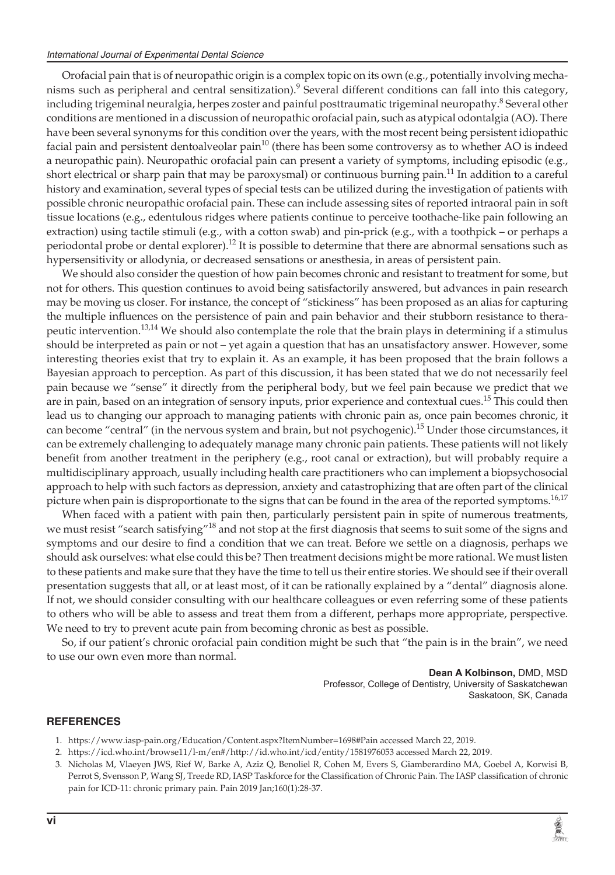Orofacial pain that is of neuropathic origin is a complex topic on its own (e.g., potentially involving mechanisms such as peripheral and central sensitization).<sup>9</sup> Several different conditions can fall into this category, including trigeminal neuralgia, herpes zoster and painful posttraumatic trigeminal neuropathy.<sup>8</sup> Several other conditions are mentioned in a discussion of neuropathic orofacial pain, such as atypical odontalgia (AO). There have been several synonyms for this condition over the years, with the most recent being persistent idiopathic facial pain and persistent dentoalveolar pain $10$  (there has been some controversy as to whether AO is indeed a neuropathic pain). Neuropathic orofacial pain can present a variety of symptoms, including episodic (e.g., short electrical or sharp pain that may be paroxysmal) or continuous burning pain.<sup>11</sup> In addition to a careful history and examination, several types of special tests can be utilized during the investigation of patients with possible chronic neuropathic orofacial pain. These can include assessing sites of reported intraoral pain in soft tissue locations (e.g., edentulous ridges where patients continue to perceive toothache-like pain following an extraction) using tactile stimuli (e.g., with a cotton swab) and pin-prick (e.g., with a toothpick – or perhaps a periodontal probe or dental explorer).<sup>12</sup> It is possible to determine that there are abnormal sensations such as hypersensitivity or allodynia, or decreased sensations or anesthesia, in areas of persistent pain.

We should also consider the question of how pain becomes chronic and resistant to treatment for some, but not for others. This question continues to avoid being satisfactorily answered, but advances in pain research may be moving us closer. For instance, the concept of "stickiness" has been proposed as an alias for capturing the multiple influences on the persistence of pain and pain behavior and their stubborn resistance to therapeutic intervention.13,14 We should also contemplate the role that the brain plays in determining if a stimulus should be interpreted as pain or not – yet again a question that has an unsatisfactory answer. However, some interesting theories exist that try to explain it. As an example, it has been proposed that the brain follows a Bayesian approach to perception. As part of this discussion, it has been stated that we do not necessarily feel pain because we "sense" it directly from the peripheral body, but we feel pain because we predict that we are in pain, based on an integration of sensory inputs, prior experience and contextual cues.<sup>15</sup> This could then lead us to changing our approach to managing patients with chronic pain as, once pain becomes chronic, it can become "central" (in the nervous system and brain, but not psychogenic).<sup>15</sup> Under those circumstances, it can be extremely challenging to adequately manage many chronic pain patients. These patients will not likely benefit from another treatment in the periphery (e.g., root canal or extraction), but will probably require a multidisciplinary approach, usually including health care practitioners who can implement a biopsychosocial approach to help with such factors as depression, anxiety and catastrophizing that are often part of the clinical picture when pain is disproportionate to the signs that can be found in the area of the reported symptoms.<sup>16,17</sup>

When faced with a patient with pain then, particularly persistent pain in spite of numerous treatments, we must resist "search satisfying"<sup>18</sup> and not stop at the first diagnosis that seems to suit some of the signs and symptoms and our desire to find a condition that we can treat. Before we settle on a diagnosis, perhaps we should ask ourselves: what else could this be? Then treatment decisions might be more rational. We must listen to these patients and make sure that they have the time to tell us their entire stories. We should see if their overall presentation suggests that all, or at least most, of it can be rationally explained by a "dental" diagnosis alone. If not, we should consider consulting with our healthcare colleagues or even referring some of these patients to others who will be able to assess and treat them from a different, perhaps more appropriate, perspective. We need to try to prevent acute pain from becoming chronic as best as possible.

So, if our patient's chronic orofacial pain condition might be such that "the pain is in the brain", we need to use our own even more than normal.

> **Dean A Kolbinson,** DMD, MSD Professor, College of Dentistry, University of Saskatchewan Saskatoon, SK, Canada

## **REFERENCES**

- 1. https://www.iasp-pain.org/Education/Content.aspx?ItemNumber=1698#Pain accessed March 22, 2019.
- 2. https://icd.who.int/browse11/l-m/en#/http://id.who.int/icd/entity/1581976053 accessed March 22, 2019.
- 3. Nicholas M, Vlaeyen JWS, Rief W, Barke A, Aziz Q, Benoliel R, Cohen M, Evers S, Giamberardino MA, Goebel A, Korwisi B, Perrot S, Svensson P, Wang SJ, Treede RD, IASP Taskforce for the Classification of Chronic Pain. The IASP classification of chronic pain for ICD-11: chronic primary pain. Pain 2019 Jan;160(1):28-37.